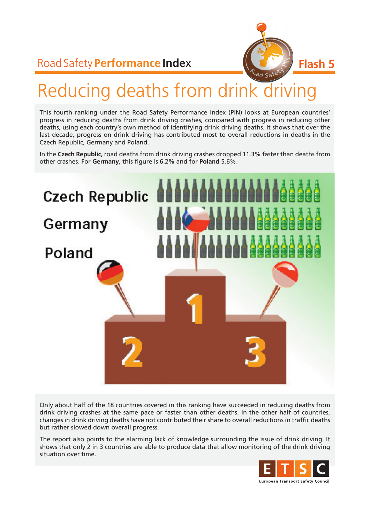# Road Safety **Performance Inde**x



# Reducing deaths from drink driving

This fourth ranking under the Road Safety Performance Index (PIN) looks at European countries' progress in reducing deaths from drink driving crashes, compared with progress in reducing other deaths, using each country's own method of identifying drink driving deaths. It shows that over the last decade, progress on drink driving has contributed most to overall reductions in deaths in the Czech Republic, Germany and Poland.

In the **Czech Republic,** road deaths from drink driving crashes dropped 11.3% faster than deaths from other crashes. For **Germany**, this figure is 6.2% and for **Poland** 5.6%.



Only about half of the 18 countries covered in this ranking have succeeded in reducing deaths from drink driving crashes at the same pace or faster than other deaths. In the other half of countries, changes in drink driving deaths have not contributed their share to overall reductions in traffic deaths but rather slowed down overall progress.

The report also points to the alarming lack of knowledge surrounding the issue of drink driving. It shows that only 2 in 3 countries are able to produce data that allow monitoring of the drink driving situation over time.

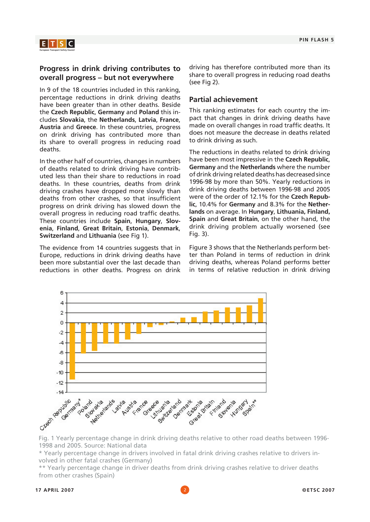



### **Progress in drink driving contributes to overall progress – but not everywhere**

In 9 of the 18 countries included in this ranking, percentage reductions in drink driving deaths have been greater than in other deaths. Beside the **Czech Republic**, **Germany** and **Poland** this includes **Slovakia**, the **Netherlands**, **Latvia**, **France**, **Austria** and **Greece**. In these countries, progress on drink driving has contributed more than its share to overall progress in reducing road deaths.

In the other half of countries, changes in numbers of deaths related to drink driving have contributed less than their share to reductions in road deaths. In these countries, deaths from drink driving crashes have dropped more slowly than deaths from other crashes, so that insufficient progress on drink driving has slowed down the overall progress in reducing road traffic deaths. These countries include **Spain**, **Hungary**, **Slovenia**, **Finland**, **Great Britain**, **Estonia**, **Denmark**, **Switzerland** and **Lithuania** (see Fig 1).

The evidence from 14 countries suggests that in Europe, reductions in drink driving deaths have been more substantial over the last decade than reductions in other deaths. Progress on drink driving has therefore contributed more than its share to overall progress in reducing road deaths (see Fig 2).

### **Partial achievement**

This ranking estimates for each country the impact that changes in drink driving deaths have made on overall changes in road traffic deaths. It does not measure the decrease in deaths related to drink driving as such.

The reductions in deaths related to drink driving have been most impressive in the **Czech Republic**, **Germany** and the **Netherlands** where the number of drink driving related deaths has decreased since 1996-98 by more than 50%. Yearly reductions in drink driving deaths between 1996-98 and 2005 were of the order of 12.1% for the **Czech Republic**, 10.4% for **Germany** and 8.3% for the **Netherlands** on average. In **Hungary**, **Lithuania, Finland, Spain** and **Great Britain**, on the other hand, the drink driving problem actually worsened (see Fig. 3).

Figure 3 shows that the Netherlands perform better than Poland in terms of reduction in drink driving deaths, whereas Poland performs better in terms of relative reduction in drink driving



1998 and 2005. Source: National data

\* Yearly percentage change in drivers involved in fatal drink driving crashes relative to drivers involved in other fatal crashes (Germany)

\*\* Yearly percentage change in driver deaths from drink driving crashes relative to driver deaths from other crashes (Spain)

#### **17 APRIL 2007** 2 **©ETSC 2007**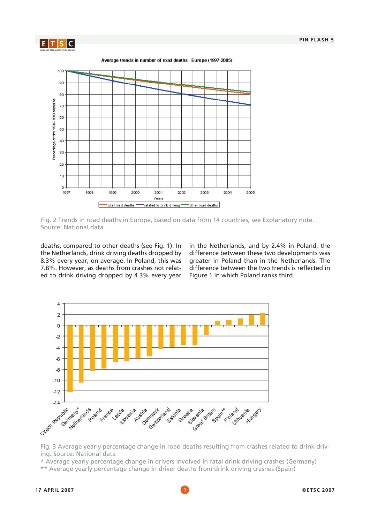

Average trends in number of road deaths - Europe (1997-2005)



Fig. 2 Trends in road deaths in Europe, based on data from 14 countries, see Explanatory note. Source: National data

deaths, compared to other deaths (see Fig. 1). In the Netherlands, drink driving deaths dropped by 8.3% every year, on average. In Poland, this was 7.8%. However, as deaths from crashes not related to drink driving dropped by 4.3% every year in the Netherlands, and by 2.4% in Poland, the difference between these two developments was greater in Poland than in the Netherlands. The difference between the two trends is reflected in Figure 1 in which Poland ranks third.



Fig. 3 Average yearly percentage change in road deaths resulting from crashes related to drink driving. Source: National data

\* Average yearly percentage change in drivers involved in fatal drink driving crashes (Germany)

\*\* Average yearly percentage change in driver deaths from drink driving crashes (Spain)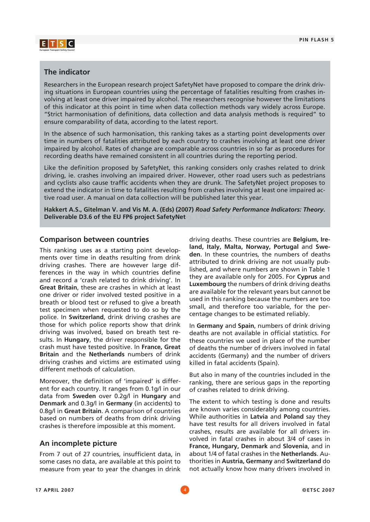

### **The indicator**

Researchers in the European research project SafetyNet have proposed to compare the drink driving situations in European countries using the percentage of fatalities resulting from crashes involving at least one driver impaired by alcohol. The researchers recognise however the limitations of this indicator at this point in time when data collection methods vary widely across Europe. "Strict harmonisation of definitions, data collection and data analysis methods is required" to ensure comparability of data, according to the latest report.

In the absence of such harmonisation, this ranking takes as a starting point developments over time in numbers of fatalities attributed by each country to crashes involving at least one driver impaired by alcohol. Rates of change are comparable across countries in so far as procedures for recording deaths have remained consistent in all countries during the reporting period.

Like the definition proposed by SafetyNet, this ranking considers only crashes related to drink driving, ie. crashes involving an impaired driver. However, other road users such as pedestrians and cyclists also cause traffic accidents when they are drunk. The SafetyNet project proposes to extend the indicator in time to fatalities resulting from crashes involving at least one impaired active road user. A manual on data collection will be published later this year.

**Hakkert A.S., Gitelman V. and Vis M. A. (Eds) (2007)** *Road Safety Performance Indicators: Theory***. Deliverable D3.6 of the EU FP6 project SafetyNet** 

### **Comparison between countries**

This ranking uses as a starting point developments over time in deaths resulting from drink driving crashes. There are however large differences in the way in which countries define and record a 'crash related to drink driving'. In **Great Britain**, these are crashes in which at least one driver or rider involved tested positive in a breath or blood test or refused to give a breath test specimen when requested to do so by the police. In **Switzerland**, drink driving crashes are those for which police reports show that drink driving was involved, based on breath test results. In **Hungary**, the driver responsible for the crash must have tested positive. In **France, Great Britain** and the **Netherlands** numbers of drink driving crashes and victims are estimated using different methods of calculation.

Moreover, the definition of 'impaired' is different for each country. It ranges from 0.1g/l in our data from **Sweden** over 0.2g/l in **Hungary** and **Denmark** and 0.3g/l in **Germany** (in accidents) to 0.8g/l in **Great Britain**. A comparison of countries based on numbers of deaths from drink driving crashes is therefore impossible at this moment.

### **An incomplete picture**

From 7 out of 27 countries, insufficient data, in some cases no data, are available at this point to measure from year to year the changes in drink driving deaths. These countries are **Belgium, Ireland, Italy, Malta, Norway, Portugal** and **Sweden**. In these countries, the numbers of deaths attributed to drink driving are not usually published, and where numbers are shown in Table 1 they are available only for 2005. For **Cyprus** and **Luxembourg** the numbers of drink driving deaths are available for the relevant years but cannot be used in this ranking because the numbers are too small, and therefore too variable, for the percentage changes to be estimated reliably.

In **Germany** and **Spain**, numbers of drink driving deaths are not available in official statistics. For these countries we used in place of the number of deaths the number of drivers involved in fatal accidents (Germany) and the number of drivers killed in fatal accidents (Spain).

But also in many of the countries included in the ranking, there are serious gaps in the reporting of crashes related to drink driving.

The extent to which testing is done and results are known varies considerably among countries. While authorities in **Latvia** and **Poland** say they have test results for all drivers involved in fatal crashes, results are available for all drivers involved in fatal crashes in about 3/4 of cases in **France, Hungary, Denmark** and **Slovenia**, and in about 1/4 of fatal crashes in the **Netherlands**. Authorities in **Austria, Germany** and **Switzerland** do not actually know how many drivers involved in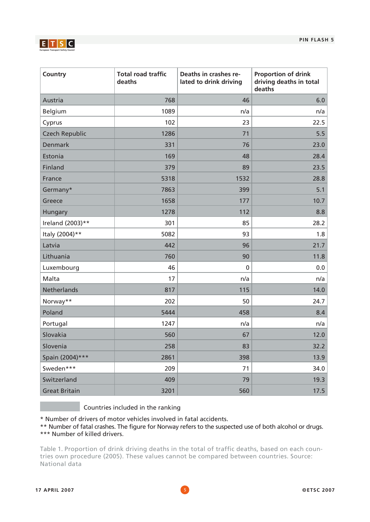

| Country               | <b>Total road traffic</b><br>deaths | Deaths in crashes re-<br>lated to drink driving | <b>Proportion of drink</b><br>driving deaths in total<br>deaths |
|-----------------------|-------------------------------------|-------------------------------------------------|-----------------------------------------------------------------|
| Austria               | 768                                 | 46                                              | 6.0                                                             |
| Belgium               | 1089                                | n/a                                             | n/a                                                             |
| Cyprus                | 102                                 | 23                                              | 22.5                                                            |
| <b>Czech Republic</b> | 1286                                | 71                                              | 5.5                                                             |
| <b>Denmark</b>        | 331                                 | 76                                              | 23.0                                                            |
| Estonia               | 169                                 | 48                                              | 28.4                                                            |
| Finland               | 379                                 | 89                                              | 23.5                                                            |
| France                | 5318                                | 1532                                            | 28.8                                                            |
| Germany*              | 7863                                | 399                                             | 5.1                                                             |
| Greece                | 1658                                | 177                                             | 10.7                                                            |
| Hungary               | 1278                                | 112                                             | 8.8                                                             |
| Ireland (2003)**      | 301                                 | 85                                              | 28.2                                                            |
| Italy (2004)**        | 5082                                | 93                                              | 1.8                                                             |
| Latvia                | 442                                 | 96                                              | 21.7                                                            |
| Lithuania             | 760                                 | 90                                              | 11.8                                                            |
| Luxembourg            | 46                                  | $\pmb{0}$                                       | 0.0                                                             |
| Malta                 | 17                                  | n/a                                             | n/a                                                             |
| Netherlands           | 817                                 | 115                                             | 14.0                                                            |
| Norway**              | 202                                 | 50                                              | 24.7                                                            |
| Poland                | 5444                                | 458                                             | 8.4                                                             |
| Portugal              | 1247                                | n/a                                             | n/a                                                             |
| Slovakia              | 560                                 | 67                                              | 12.0                                                            |
| Slovenia              | 258                                 | 83                                              | 32.2                                                            |
| Spain (2004)***       | 2861                                | 398                                             | 13.9                                                            |
| Sweden***             | 209                                 | 71                                              | 34.0                                                            |
| Switzerland           | 409                                 | 79                                              | 19.3                                                            |
| <b>Great Britain</b>  | 3201                                | 560                                             | 17.5                                                            |

Countries included in the ranking

\* Number of drivers of motor vehicles involved in fatal accidents.

\*\* Number of fatal crashes. The figure for Norway refers to the suspected use of both alcohol or drugs. \*\*\* Number of killed drivers.

Table 1. Proportion of drink driving deaths in the total of traffic deaths, based on each countries own procedure (2005). These values cannot be compared between countries. Source: National data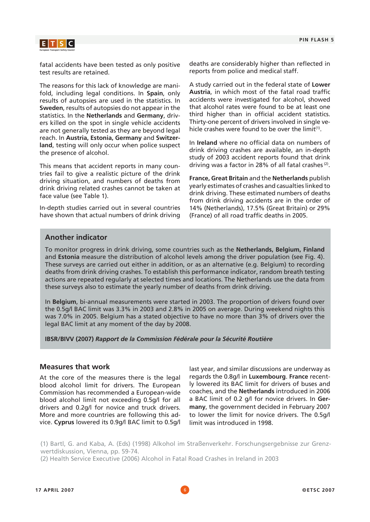

fatal accidents have been tested as only positive test results are retained.

The reasons for this lack of knowledge are manifold, including legal conditions. In **Spain**, only results of autopsies are used in the statistics. In **Sweden**, results of autopsies do not appear in the statistics. In the **Netherlands** and **Germany**, drivers killed on the spot in single vehicle accidents are not generally tested as they are beyond legal reach. In **Austria, Estonia, Germany** and **Switzerland**, testing will only occur when police suspect the presence of alcohol.

This means that accident reports in many countries fail to give a realistic picture of the drink driving situation, and numbers of deaths from drink driving related crashes cannot be taken at face value (see Table 1).

In-depth studies carried out in several countries have shown that actual numbers of drink driving deaths are considerably higher than reflected in reports from police and medical staff.

A study carried out in the federal state of **Lower Austria**, in which most of the fatal road traffic accidents were investigated for alcohol, showed that alcohol rates were found to be at least one third higher than in official accident statistics. Thirty-one percent of drivers involved in single vehicle crashes were found to be over the  $limit^{(1)}$ .

In **Ireland** where no official data on numbers of drink driving crashes are available, an in-depth study of 2003 accident reports found that drink driving was a factor in 28% of all fatal crashes (2).

**France, Great Britain** and the **Netherlands** publish yearly estimates of crashes and casualties linked to drink driving. These estimated numbers of deaths from drink driving accidents are in the order of 14% (Netherlands), 17.5% (Great Britain) or 29% (France) of all road traffic deaths in 2005.

### **Another indicator**

To monitor progress in drink driving, some countries such as the **Netherlands, Belgium, Finland** and **Estonia** measure the distribution of alcohol levels among the driver population (see Fig. 4). These surveys are carried out either in addition, or as an alternative (e.g. Belgium) to recording deaths from drink driving crashes. To establish this performance indicator, random breath testing actions are repeated regularly at selected times and locations. The Netherlands use the data from these surveys also to estimate the yearly number of deaths from drink driving.

In **Belgium**, bi-annual measurements were started in 2003. The proportion of drivers found over the 0.5g/l BAC limit was 3.3% in 2003 and 2.8% in 2005 on average. During weekend nights this was 7.0% in 2005. Belgium has a stated objective to have no more than 3% of drivers over the legal BAC limit at any moment of the day by 2008.

**IBSR/BIVV (2007)** *Rapport de la Commission Fédérale pour la Sécurité Routière* 

### **Measures that work**

At the core of the measures there is the legal blood alcohol limit for drivers. The European Commission has recommended a European-wide blood alcohol limit not exceeding 0.5g/l for all drivers and 0.2g/l for novice and truck drivers. More and more countries are following this advice. **Cyprus** lowered its 0.9g/l BAC limit to 0.5g/l

last year, and similar discussions are underway as regards the 0.8g/l in **Luxembourg**. **France** recently lowered its BAC limit for drivers of buses and coaches, and the **Netherlands** introduced in 2006 a BAC limit of 0.2 g/l for novice drivers. In **Germany**, the government decided in February 2007 to lower the limit for novice drivers. The 0.5g/l limit was introduced in 1998.

(1) Bartl, G. and Kaba, A. (Eds) (1998) Alkohol im Straßenverkehr. Forschungsergebnisse zur Grenzwertdiskussion, Vienna, pp. 59-74.

(2) Health Service Executive (2006) Alcohol in Fatal Road Crashes in Ireland in 2003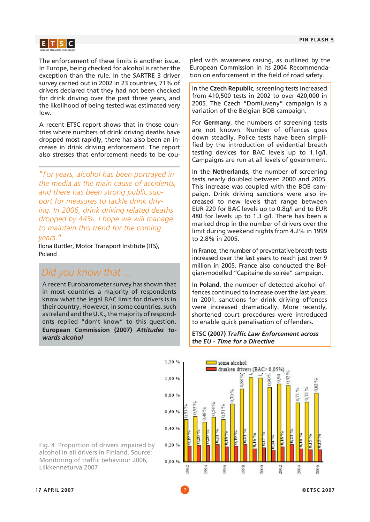

The enforcement of these limits is another issue. In Europe, being checked for alcohol is rather the exception than the rule. In the SARTRE 3 driver survey carried out in 2002 in 23 countries, 71% of drivers declared that they had not been checked for drink driving over the past three years, and the likelihood of being tested was estimated very low.

A recent ETSC report shows that in those countries where numbers of drink driving deaths have dropped most rapidly, there has also been an increase in drink driving enforcement. The report also stresses that enforcement needs to be cou-

"*For years, alcohol has been portrayed in the media as the main cause of accidents, and there has been strong public support for measures to tackle drink driving. In 2006, drink driving related deaths dropped by 44%. I hope we will manage to maintain this trend for the coming years.*"

Ilona Buttler, Motor Transport Institute (ITS), Poland

# *Did you know that ...*

A recent Eurobarometer survey has shown that in most countries a majority of respondents know what the legal BAC limit for drivers is in their country. However, in some countries, such as Ireland and the U.K., the majority of respondents replied "don't know" to this question. **European Commission (2007)** *Attitudes towards alcohol*

pled with awareness raising, as outlined by the European Commission in its 2004 Recommendation on enforcement in the field of road safety.

In the **Czech Republic**, screening tests increased from 410,500 tests in 2002 to over 420,000 in 2005. The Czech "Domluveny" campaign is a variation of the Belgian BOB campaign.

For **Germany**, the numbers of screening tests are not known. Number of offences goes down steadily. Police tests have been simplified by the introduction of evidential breath testing devices for BAC levels up to 1.1g/l. Campaigns are run at all levels of government.

In the **Netherlands**, the number of screening tests nearly doubled between 2000 and 2005. This increase was coupled with the BOB campaign. Drink driving sanctions were also increased to new levels that range between EUR 220 for BAC levels up to 0.8g/l and to EUR 480 for levels up to 1.3 g/l. There has been a marked drop in the number of drivers over the limit during weekend nights from 4.2% in 1999 to 2.8% in 2005.

In **France**, the number of preventative breath tests increased over the last years to reach just over 9 million in 2005. France also conducted the Belgian-modelled "Capitaine de soirée" campaign.

In **Poland**, the number of detected alcohol offences continued to increase over the last years. In 2001, sanctions for drink driving offences were increased dramatically. More recently, shortened court procedures were introduced to enable quick penalisation of offenders.

### **ETSC (2007)** *Traffic Law Enforcement across the EU - Time for a Directive*



Fig. 4 Proportion of drivers impaired by alcohol in all drivers in Finland. Source: Monitoring of traffic behaviour 2006, Liikkenneturva 2007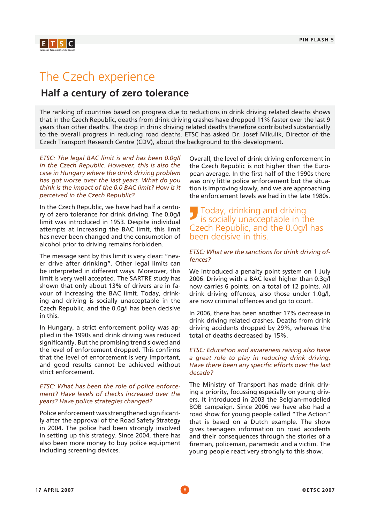

# The Czech experience

### **Half a century of zero tolerance**

The ranking of countries based on progress due to reductions in drink driving related deaths shows that in the Czech Republic, deaths from drink driving crashes have dropped 11% faster over the last 9 years than other deaths. The drop in drink driving related deaths therefore contributed substantially to the overall progress in reducing road deaths. ETSC has asked Dr. Josef Mikulik, Director of the Czech Transport Research Centre (CDV), about the background to this development.

*ETSC: The legal BAC limit is and has been 0.0g/l in the Czech Republic. However, this is also the case in Hungary where the drink driving problem has got worse over the last years. What do you think is the impact of the 0.0 BAC limit? How is it perceived in the Czech Republic?*

In the Czech Republic, we have had half a century of zero tolerance for drink driving. The 0.0g/l limit was introduced in 1953. Despite individual attempts at increasing the BAC limit, this limit has never been changed and the consumption of alcohol prior to driving remains forbidden.

The message sent by this limit is very clear: "never drive after drinking". Other legal limits can be interpreted in different ways. Moreover, this limit is very well accepted. The SARTRE study has shown that only about 13% of drivers are in favour of increasing the BAC limit. Today, drinking and driving is socially unacceptable in the Czech Republic, and the 0.0g/l has been decisive in this.

In Hungary, a strict enforcement policy was applied in the 1990s and drink driving was reduced significantly. But the promising trend slowed and the level of enforcement dropped. This confirms that the level of enforcement is very important, and good results cannot be achieved without strict enforcement.

### *ETSC: What has been the role of police enforcement? Have levels of checks increased over the years? Have police strategies changed?*

Police enforcement was strengthened significantly after the approval of the Road Safety Strategy in 2004. The police had been strongly involved in setting up this strategy. Since 2004, there has also been more money to buy police equipment including screening devices.

Overall, the level of drink driving enforcement in the Czech Republic is not higher than the European average. In the first half of the 1990s there was only little police enforcement but the situation is improving slowly, and we are approaching the enforcement levels we had in the late 1980s.

### Today, drinking and driving is socially unacceptable in the Czech Republic, and the 0.0g/l has been decisive in this.

### *ETSC: What are the sanctions for drink driving offences?*

We introduced a penalty point system on 1 July 2006. Driving with a BAC level higher than 0.3g/l now carries 6 points, on a total of 12 points. All drink driving offences, also those under 1.0g/l, are now criminal offences and go to court.

In 2006, there has been another 17% decrease in drink driving related crashes. Deaths from drink driving accidents dropped by 29%, whereas the total of deaths decreased by 15%.

### *ETSC: Education and awareness raising also have a great role to play in reducing drink driving. Have there been any specific efforts over the last decade?*

The Ministry of Transport has made drink driving a priority, focussing especially on young drivers. It introduced in 2003 the Belgian-modelled BOB campaign. Since 2006 we have also had a road show for young people called "The Action" that is based on a Dutch example. The show gives teenagers information on road accidents and their consequences through the stories of a fireman, policeman, paramedic and a victim. The young people react very strongly to this show.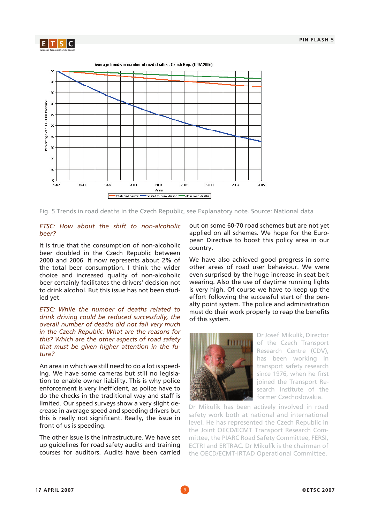



Fig. 5 Trends in road deaths in the Czech Republic, see Explanatory note. Source: National data

### *ETSC: How about the shift to non-alcoholic beer?*

It is true that the consumption of non-alcoholic beer doubled in the Czech Republic between 2000 and 2006. It now represents about 2% of the total beer consumption. I think the wider choice and increased quality of non-alcoholic beer certainly facilitates the drivers' decision not to drink alcohol. But this issue has not been studied yet.

*ETSC: While the number of deaths related to drink driving could be reduced successfully, the overall number of deaths did not fall very much in the Czech Republic. What are the reasons for this? Which are the other aspects of road safety that must be given higher attention in the future?*

An area in which we still need to do a lot is speeding. We have some cameras but still no legislation to enable owner liability. This is why police enforcement is very inefficient, as police have to do the checks in the traditional way and staff is limited. Our speed surveys show a very slight decrease in average speed and speeding drivers but this is really not significant. Really, the issue in front of us is speeding.

The other issue is the infrastructure. We have set up guidelines for road safety audits and training courses for auditors. Audits have been carried out on some 60-70 road schemes but are not yet applied on all schemes. We hope for the European Directive to boost this policy area in our country.

We have also achieved good progress in some other areas of road user behaviour. We were even surprised by the huge increase in seat belt wearing. Also the use of daytime running lights is very high. Of course we have to keep up the effort following the successful start of the penalty point system. The police and administration must do their work properly to reap the benefits of this system.



Dr Josef Mikulík, Director of the Czech Transport Research Centre (CDV), has been working in transport safety research since 1976, when he first joined the Transport Research Institute of the former Czechoslovakia.

Dr Mikulík has been actively involved in road safety work both at national and international level. He has represented the Czech Republic in the Joint OECD/ECMT Transport Research Committee, the PIARC Road Safety Committee, FERSI, ECTRI and ERTRAC. Dr Mikulík is the chairman of the OECD/ECMT-IRTAD Operational Committee.